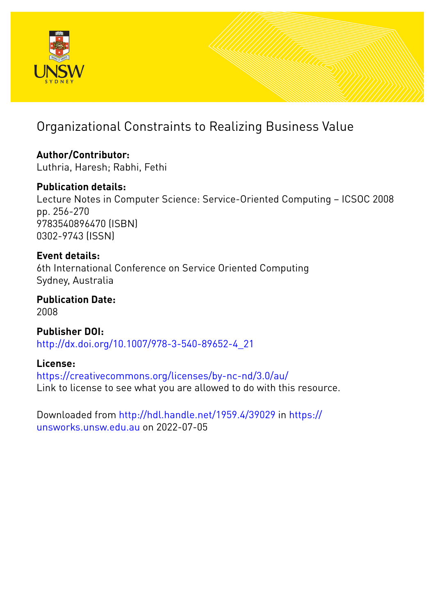

# Organizational Constraints to Realizing Business Value

**Author/Contributor:** Luthria, Haresh; Rabhi, Fethi

# **Publication details:**

Lecture Notes in Computer Science: Service-Oriented Computing – ICSOC 2008 pp. 256-270 9783540896470 (ISBN) 0302-9743 (ISSN)

**Event details:** 6th International Conference on Service Oriented Computing Sydney, Australia

**Publication Date:** 2008

**Publisher DOI:** [http://dx.doi.org/10.1007/978-3-540-89652-4\\_21](http://dx.doi.org/http://dx.doi.org/10.1007/978-3-540-89652-4_21)

**License:** <https://creativecommons.org/licenses/by-nc-nd/3.0/au/> Link to license to see what you are allowed to do with this resource.

Downloaded from <http://hdl.handle.net/1959.4/39029> in [https://](https://unsworks.unsw.edu.au) [unsworks.unsw.edu.au](https://unsworks.unsw.edu.au) on 2022-07-05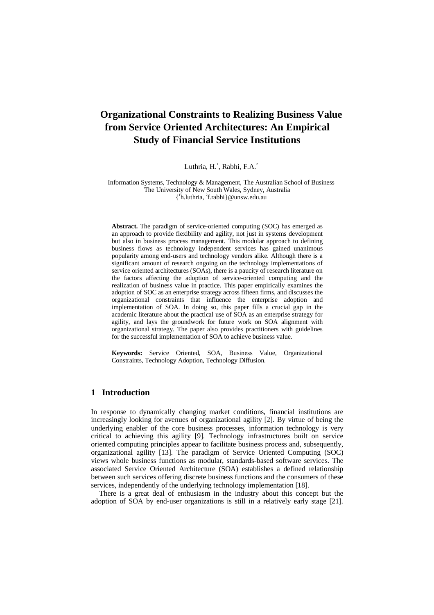# **Organizational Constraints to Realizing Business Value from Service Oriented Architectures: An Empirical Study of Financial Service Institutions**

# Luthria, H.<sup>1</sup>, Rabhi, F.A.<sup>2</sup>

Information Systems, Technology & Management, The Australian School of Business The University of New South Wales, Sydney, Australia { 1 h.luthria, <sup>2</sup> f.rabhi}@unsw.edu.au

**Abstract.** The paradigm of service-oriented computing (SOC) has emerged as an approach to provide flexibility and agility, not just in systems development but also in business process management. This modular approach to defining business flows as technology independent services has gained unanimous popularity among end-users and technology vendors alike. Although there is a significant amount of research ongoing on the technology implementations of service oriented architectures (SOAs), there is a paucity of research literature on the factors affecting the adoption of service-oriented computing and the realization of business value in practice. This paper empirically examines the adoption of SOC as an enterprise strategy across fifteen firms, and discusses the organizational constraints that influence the enterprise adoption and implementation of SOA. In doing so, this paper fills a crucial gap in the academic literature about the practical use of SOA as an enterprise strategy for agility, and lays the groundwork for future work on SOA alignment with organizational strategy. The paper also provides practitioners with guidelines for the successful implementation of SOA to achieve business value.

**Keywords:** Service Oriented, SOA, Business Value, Organizational Constraints, Technology Adoption, Technology Diffusion.

# **1 Introduction**

In response to dynamically changing market conditions, financial institutions are increasingly looking for avenues of organizational agility [2]. By virtue of being the underlying enabler of the core business processes, information technology is very critical to achieving this agility [9]. Technology infrastructures built on service oriented computing principles appear to facilitate business process and, subsequently, organizational agility [13]. The paradigm of Service Oriented Computing (SOC) views whole business functions as modular, standards-based software services. The associated Service Oriented Architecture (SOA) establishes a defined relationship between such services offering discrete business functions and the consumers of these services, independently of the underlying technology implementation [18].

There is a great deal of enthusiasm in the industry about this concept but the adoption of SOA by end-user organizations is still in a relatively early stage [21].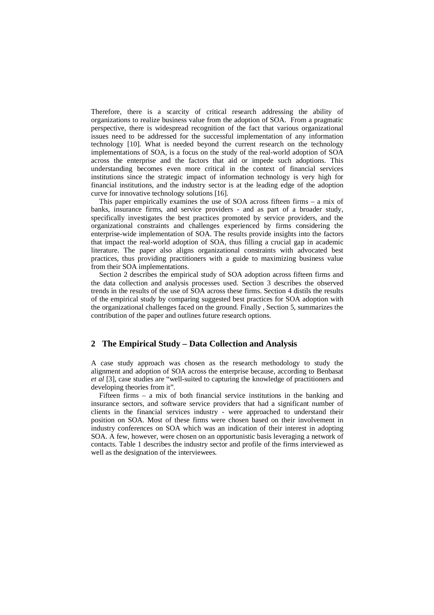Therefore, there is a scarcity of critical research addressing the ability of organizations to realize business value from the adoption of SOA. From a pragmatic perspective, there is widespread recognition of the fact that various organizational issues need to be addressed for the successful implementation of any information technology [10]. What is needed beyond the current research on the technology implementations of SOA, is a focus on the study of the real-world adoption of SOA across the enterprise and the factors that aid or impede such adoptions. This understanding becomes even more critical in the context of financial services institutions since the strategic impact of information technology is very high for financial institutions, and the industry sector is at the leading edge of the adoption curve for innovative technology solutions [16].

This paper empirically examines the use of SOA across fifteen firms – a mix of banks, insurance firms, and service providers - and as part of a broader study, specifically investigates the best practices promoted by service providers, and the organizational constraints and challenges experienced by firms considering the enterprise-wide implementation of SOA. The results provide insights into the factors that impact the real-world adoption of SOA, thus filling a crucial gap in academic literature. The paper also aligns organizational constraints with advocated best practices, thus providing practitioners with a guide to maximizing business value from their SOA implementations.

Section 2 describes the empirical study of SOA adoption across fifteen firms and the data collection and analysis processes used. Section 3 describes the observed trends in the results of the use of SOA across these firms. Section 4 distils the results of the empirical study by comparing suggested best practices for SOA adoption with the organizational challenges faced on the ground. Finally , Section 5, summarizes the contribution of the paper and outlines future research options.

# **2 The Empirical Study – Data Collection and Analysis**

A case study approach was chosen as the research methodology to study the alignment and adoption of SOA across the enterprise because, according to Benbasat *et al* [3], case studies are "well-suited to capturing the knowledge of practitioners and developing theories from it".

Fifteen firms – a mix of both financial service institutions in the banking and insurance sectors, and software service providers that had a significant number of clients in the financial services industry - were approached to understand their position on SOA. Most of these firms were chosen based on their involvement in industry conferences on SOA which was an indication of their interest in adopting SOA. A few, however, were chosen on an opportunistic basis leveraging a network of contacts. Table 1 describes the industry sector and profile of the firms interviewed as well as the designation of the interviewees.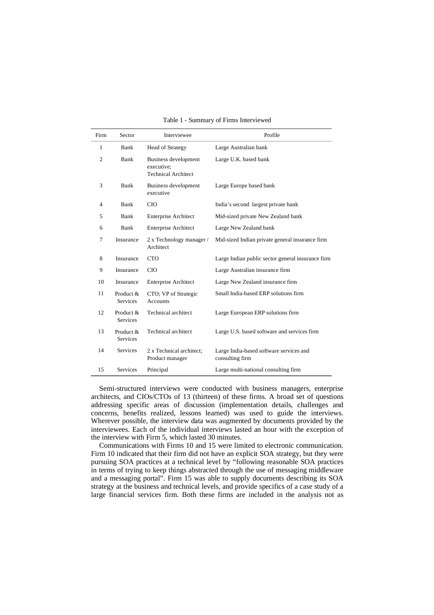| Firm           | Sector                       | Interviewee                                                             | Profile                                                    |
|----------------|------------------------------|-------------------------------------------------------------------------|------------------------------------------------------------|
| 1              | Bank                         | <b>Head of Strategy</b>                                                 | Large Australian bank                                      |
| $\overline{c}$ | Bank                         | <b>Business development</b><br>executive:<br><b>Technical Architect</b> | Large U.K. based bank                                      |
| 3              | Bank                         | Business development<br>executive                                       | Large Europe based bank                                    |
| $\overline{4}$ | Bank                         | <b>CIO</b>                                                              | India's second largest private bank                        |
| 5              | Bank                         | <b>Enterprise Architect</b>                                             | Mid-sized private New Zealand bank                         |
| 6              | Bank                         | <b>Enterprise Architect</b>                                             | Large New Zealand bank                                     |
| 7              | Insurance                    | 2 x Technology manager /<br>Architect                                   | Mid-sized Indian private general insurance firm            |
| 8              | Insurance                    | <b>CTO</b>                                                              | Large Indian public sector general insurance firm          |
| 9              | Insurance                    | <b>CIO</b>                                                              | Large Australian insurance firm                            |
| 10             | Insurance                    | <b>Enterprise Architect</b>                                             | Large New Zealand insurance firm                           |
| 11             | Product &<br><b>Services</b> | CTO; VP of Strategic<br><b>Accounts</b>                                 | Small India-based ERP solutions firm                       |
| 12             | Product &<br><b>Services</b> | Technical architect                                                     | Large European ERP solutions firm                          |
| 13             | Product &<br><b>Services</b> | Technical architect                                                     | Large U.S. based software and services firm                |
| 14             | Services                     | 2 x Technical architect;<br>Product manager                             | Large India-based software services and<br>consulting firm |
| 15             | Services                     | Principal                                                               | Large multi-national consulting firm                       |

Table 1 - Summary of Firms Interviewed

Semi-structured interviews were conducted with business managers, enterprise architects, and CIOs/CTOs of 13 (thirteen) of these firms. A broad set of questions addressing specific areas of discussion (implementation details, challenges and concerns, benefits realized, lessons learned) was used to guide the interviews. Wherever possible, the interview data was augmented by documents provided by the interviewees. Each of the individual interviews lasted an hour with the exception of the interview with Firm 5, which lasted 30 minutes.

Communications with Firms 10 and 15 were limited to electronic communication. Firm 10 indicated that their firm did not have an explicit SOA strategy, but they were pursuing SOA practices at a technical level by "following reasonable SOA practices in terms of trying to keep things abstracted through the use of messaging middleware and a messaging portal". Firm 15 was able to supply documents describing its SOA strategy at the business and technical levels, and provide specifics of a case study of a large financial services firm. Both these firms are included in the analysis not as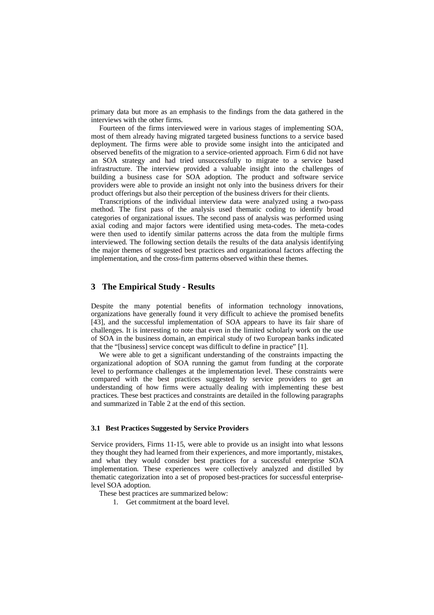primary data but more as an emphasis to the findings from the data gathered in the interviews with the other firms.

Fourteen of the firms interviewed were in various stages of implementing SOA, most of them already having migrated targeted business functions to a service based deployment. The firms were able to provide some insight into the anticipated and observed benefits of the migration to a service-oriented approach. Firm 6 did not have an SOA strategy and had tried unsuccessfully to migrate to a service based infrastructure. The interview provided a valuable insight into the challenges of building a business case for SOA adoption. The product and software service providers were able to provide an insight not only into the business drivers for their product offerings but also their perception of the business drivers for their clients.

Transcriptions of the individual interview data were analyzed using a two-pass method. The first pass of the analysis used thematic coding to identify broad categories of organizational issues. The second pass of analysis was performed using axial coding and major factors were identified using meta-codes. The meta-codes were then used to identify similar patterns across the data from the multiple firms interviewed. The following section details the results of the data analysis identifying the major themes of suggested best practices and organizational factors affecting the implementation, and the cross-firm patterns observed within these themes.

# **3 The Empirical Study - Results**

Despite the many potential benefits of information technology innovations, organizations have generally found it very difficult to achieve the promised benefits [43], and the successful implementation of SOA appears to have its fair share of challenges. It is interesting to note that even in the limited scholarly work on the use of SOA in the business domain, an empirical study of two European banks indicated that the "[business] service concept was difficult to define in practice" [1].

We were able to get a significant understanding of the constraints impacting the organizational adoption of SOA running the gamut from funding at the corporate level to performance challenges at the implementation level. These constraints were compared with the best practices suggested by service providers to get an understanding of how firms were actually dealing with implementing these best practices. These best practices and constraints are detailed in the following paragraphs and summarized in Table 2 at the end of this section.

#### **3.1 Best Practices Suggested by Service Providers**

Service providers, Firms 11-15, were able to provide us an insight into what lessons they thought they had learned from their experiences, and more importantly, mistakes, and what they would consider best practices for a successful enterprise SOA implementation. These experiences were collectively analyzed and distilled by thematic categorization into a set of proposed best-practices for successful enterpriselevel SOA adoption.

These best practices are summarized below:

1. Get commitment at the board level.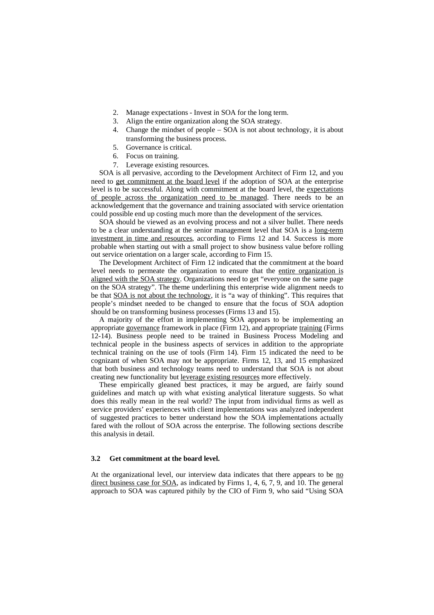- 2. Manage expectations Invest in SOA for the long term.
- 3. Align the entire organization along the SOA strategy.
- 4. Change the mindset of people SOA is not about technology, it is about transforming the business process.
- 5. Governance is critical.
- 6. Focus on training.
- 7. Leverage existing resources.

SOA is all pervasive, according to the Development Architect of Firm 12, and you need to get commitment at the board level if the adoption of SOA at the enterprise level is to be successful. Along with commitment at the board level, the expectations of people across the organization need to be managed. There needs to be an acknowledgement that the governance and training associated with service orientation could possible end up costing much more than the development of the services.

SOA should be viewed as an evolving process and not a silver bullet. There needs to be a clear understanding at the senior management level that SOA is a long-term investment in time and resources, according to Firms 12 and 14. Success is more probable when starting out with a small project to show business value before rolling out service orientation on a larger scale, according to Firm 15.

The Development Architect of Firm 12 indicated that the commitment at the board level needs to permeate the organization to ensure that the entire organization is aligned with the SOA strategy. Organizations need to get "everyone on the same page on the SOA strategy". The theme underlining this enterprise wide alignment needs to be that SOA is not about the technology, it is "a way of thinking". This requires that people's mindset needed to be changed to ensure that the focus of SOA adoption should be on transforming business processes (Firms 13 and 15).

A majority of the effort in implementing SOA appears to be implementing an appropriate governance framework in place (Firm 12), and appropriate training (Firms 12-14). Business people need to be trained in Business Process Modeling and technical people in the business aspects of services in addition to the appropriate technical training on the use of tools (Firm 14). Firm 15 indicated the need to be cognizant of when SOA may not be appropriate. Firms 12, 13, and 15 emphasized that both business and technology teams need to understand that SOA is not about creating new functionality but leverage existing resources more effectively.

These empirically gleaned best practices, it may be argued, are fairly sound guidelines and match up with what existing analytical literature suggests. So what does this really mean in the real world? The input from individual firms as well as service providers' experiences with client implementations was analyzed independent of suggested practices to better understand how the SOA implementations actually fared with the rollout of SOA across the enterprise. The following sections describe this analysis in detail.

### **3.2 Get commitment at the board level.**

At the organizational level, our interview data indicates that there appears to be  $\underline{no}$ direct business case for SOA, as indicated by Firms 1, 4, 6, 7, 9, and 10. The general approach to SOA was captured pithily by the CIO of Firm 9, who said "Using SOA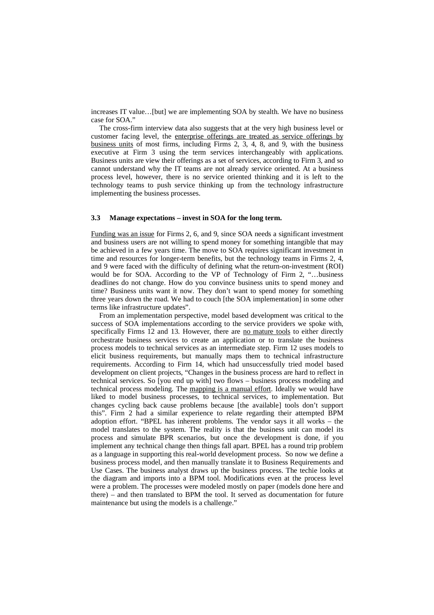increases IT value…[but] we are implementing SOA by stealth. We have no business case for SOA."

The cross-firm interview data also suggests that at the very high business level or customer facing level, the enterprise offerings are treated as service offerings by business units of most firms, including Firms 2, 3, 4, 8, and 9, with the business executive at Firm 3 using the term services interchangeably with applications. Business units are view their offerings as a set of services, according to Firm 3, and so cannot understand why the IT teams are not already service oriented. At a business process level, however, there is no service oriented thinking and it is left to the technology teams to push service thinking up from the technology infrastructure implementing the business processes.

#### **3.3 Manage expectations – invest in SOA for the long term.**

Funding was an issue for Firms 2, 6, and 9, since SOA needs a significant investment and business users are not willing to spend money for something intangible that may be achieved in a few years time. The move to SOA requires significant investment in time and resources for longer-term benefits, but the technology teams in Firms 2, 4, and 9 were faced with the difficulty of defining what the return-on-investment (ROI) would be for SOA. According to the VP of Technology of Firm 2, "…business deadlines do not change. How do you convince business units to spend money and time? Business units want it now. They don't want to spend money for something three years down the road. We had to couch [the SOA implementation] in some other terms like infrastructure updates".

From an implementation perspective, model based development was critical to the success of SOA implementations according to the service providers we spoke with, specifically Firms 12 and 13. However, there are no mature tools to either directly orchestrate business services to create an application or to translate the business process models to technical services as an intermediate step. Firm 12 uses models to elicit business requirements, but manually maps them to technical infrastructure requirements. According to Firm 14, which had unsuccessfully tried model based development on client projects, "Changes in the business process are hard to reflect in technical services. So [you end up with] two flows – business process modeling and technical process modeling. The mapping is a manual effort. Ideally we would have liked to model business processes, to technical services, to implementation. But changes cycling back cause problems because [the available] tools don't support this". Firm 2 had a similar experience to relate regarding their attempted BPM adoption effort. "BPEL has inherent problems. The vendor says it all works – the model translates to the system. The reality is that the business unit can model its process and simulate BPR scenarios, but once the development is done, if you implement any technical change then things fall apart. BPEL has a round trip problem as a language in supporting this real-world development process. So now we define a business process model, and then manually translate it to Business Requirements and Use Cases. The business analyst draws up the business process. The techie looks at the diagram and imports into a BPM tool. Modifications even at the process level were a problem. The processes were modeled mostly on paper (models done here and there) – and then translated to BPM the tool. It served as documentation for future maintenance but using the models is a challenge."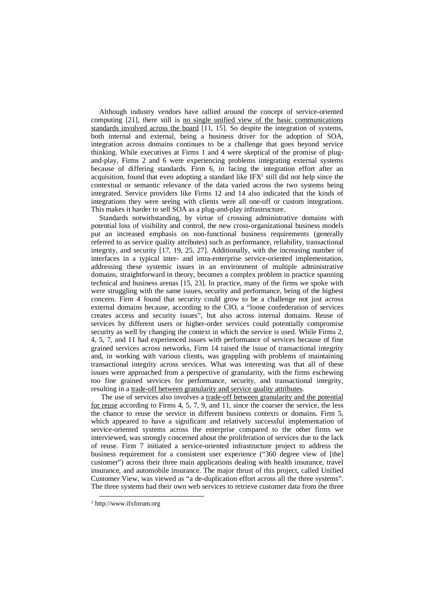Although industry vendors have rallied around the concept of service-oriented computing [21], there still is no single unified view of the basic communications standards involved across the board [11, 15]. So despite the integration of systems, both internal and external, being a business driver for the adoption of SOA, integration across domains continues to be a challenge that goes beyond service thinking. While executives at Firms 1 and 4 were skeptical of the promise of plugand-play, Firms 2 and 6 were experiencing problems integrating external systems because of differing standards. Firm 6, in facing the integration effort after an acquisition, found that even adopting a standard like  $IFX<sup>1</sup>$  still did not help since the contextual or semantic relevance of the data varied across the two systems being integrated. Service providers like Firms 12 and 14 also indicated that the kinds of integrations they were seeing with clients were all one-off or custom integrations. This makes it harder to sell SOA as a plug-and-play infrastructure.

Standards notwithstanding, by virtue of crossing administrative domains with potential loss of visibility and control, the new cross-organizational business models put an increased emphasis on non-functional business requirements (generally referred to as service quality attributes) such as performance, reliability, transactional integrity, and security [17, 19, 25, 27]. Additionally, with the increasing number of interfaces in a typical inter- and intra-enterprise service-oriented implementation, addressing these systemic issues in an environment of multiple administrative domains, straightforward in theory, becomes a complex problem in practice spanning technical and business arenas [15, 23]. In practice, many of the firms we spoke with were struggling with the same issues, security and performance, being of the highest concern. Firm 4 found that security could grow to be a challenge not just across external domains because, according to the CIO, a "loose confederation of services creates access and security issues", but also across internal domains. Reuse of services by different users or higher-order services could potentially compromise security as well by changing the context in which the service is used. While Firms 2, 4, 5, 7, and 11 had experienced issues with performance of services because of fine grained services across networks, Firm 14 raised the issue of transactional integrity and, in working with various clients, was grappling with problems of maintaining transactional integrity across services. What was interesting was that all of these issues were approached from a perspective of granularity, with the firms eschewing too fine grained services for performance, security, and transactional integrity, resulting in a trade-off between granularity and service quality attributes.

 The use of services also involves a trade-off between granularity and the potential for reuse according to Firms 4, 5, 7, 9, and 11, since the coarser the service, the less the chance to reuse the service in different business contexts or domains. Firm 5, which appeared to have a significant and relatively successful implementation of service-oriented systems across the enterprise compared to the other firms we interviewed, was strongly concerned about the proliferation of services due to the lack of reuse. Firm 7 initiated a service-oriented infrastructure project to address the business requirement for a consistent user experience ("360 degree view of [the] customer") across their three main applications dealing with health insurance, travel insurance, and automobile insurance. The major thrust of this project, called Unified Customer View, was viewed as "a de-duplication effort across all the three systems". The three systems had their own web services to retrieve customer data from the three

 <sup>1</sup> http://www.ifxforum.org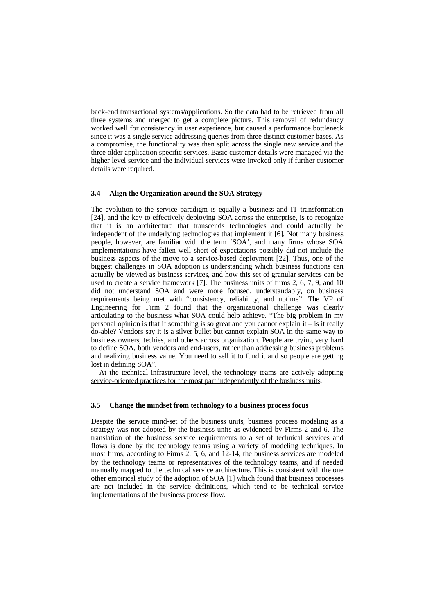back-end transactional systems/applications. So the data had to be retrieved from all three systems and merged to get a complete picture. This removal of redundancy worked well for consistency in user experience, but caused a performance bottleneck since it was a single service addressing queries from three distinct customer bases. As a compromise, the functionality was then split across the single new service and the three older application specific services. Basic customer details were managed via the higher level service and the individual services were invoked only if further customer details were required.

#### **3.4 Align the Organization around the SOA Strategy**

The evolution to the service paradigm is equally a business and IT transformation [24], and the key to effectively deploying SOA across the enterprise, is to recognize that it is an architecture that transcends technologies and could actually be independent of the underlying technologies that implement it [6]. Not many business people, however, are familiar with the term 'SOA', and many firms whose SOA implementations have fallen well short of expectations possibly did not include the business aspects of the move to a service-based deployment [22]. Thus, one of the biggest challenges in SOA adoption is understanding which business functions can actually be viewed as business services, and how this set of granular services can be used to create a service framework [7]. The business units of firms 2, 6, 7, 9, and 10 did not understand SOA and were more focused, understandably, on business requirements being met with "consistency, reliability, and uptime". The VP of Engineering for Firm 2 found that the organizational challenge was clearly articulating to the business what SOA could help achieve. "The big problem in my personal opinion is that if something is so great and you cannot explain it – is it really do-able? Vendors say it is a silver bullet but cannot explain SOA in the same way to business owners, techies, and others across organization. People are trying very hard to define SOA, both vendors and end-users, rather than addressing business problems and realizing business value. You need to sell it to fund it and so people are getting lost in defining SOA".

At the technical infrastructure level, the technology teams are actively adopting service-oriented practices for the most part independently of the business units.

# **3.5 Change the mindset from technology to a business process focus**

Despite the service mind-set of the business units, business process modeling as a strategy was not adopted by the business units as evidenced by Firms 2 and 6. The translation of the business service requirements to a set of technical services and flows is done by the technology teams using a variety of modeling techniques. In most firms, according to Firms 2, 5, 6, and 12-14, the business services are modeled by the technology teams or representatives of the technology teams, and if needed manually mapped to the technical service architecture. This is consistent with the one other empirical study of the adoption of SOA [1] which found that business processes are not included in the service definitions, which tend to be technical service implementations of the business process flow.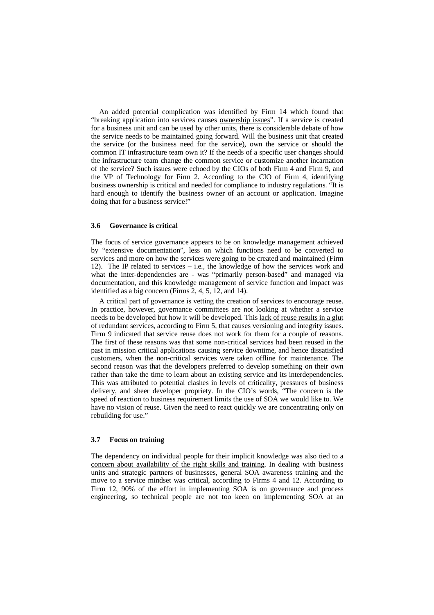An added potential complication was identified by Firm 14 which found that "breaking application into services causes ownership issues". If a service is created for a business unit and can be used by other units, there is considerable debate of how the service needs to be maintained going forward. Will the business unit that created the service (or the business need for the service), own the service or should the common IT infrastructure team own it? If the needs of a specific user changes should the infrastructure team change the common service or customize another incarnation of the service? Such issues were echoed by the CIOs of both Firm 4 and Firm 9, and the VP of Technology for Firm 2. According to the CIO of Firm 4, identifying business ownership is critical and needed for compliance to industry regulations. "It is hard enough to identify the business owner of an account or application. Imagine doing that for a business service!"

#### **3.6 Governance is critical**

The focus of service governance appears to be on knowledge management achieved by "extensive documentation", less on which functions need to be converted to services and more on how the services were going to be created and maintained (Firm 12). The IP related to services – i.e., the knowledge of how the services work and what the inter-dependencies are - was "primarily person-based" and managed via documentation, and this knowledge management of service function and impact was identified as a big concern (Firms 2, 4, 5, 12, and 14).

A critical part of governance is vetting the creation of services to encourage reuse. In practice, however, governance committees are not looking at whether a service needs to be developed but how it will be developed. This lack of reuse results in a glut of redundant services, according to Firm 5, that causes versioning and integrity issues. Firm 9 indicated that service reuse does not work for them for a couple of reasons. The first of these reasons was that some non-critical services had been reused in the past in mission critical applications causing service downtime, and hence dissatisfied customers, when the non-critical services were taken offline for maintenance. The second reason was that the developers preferred to develop something on their own rather than take the time to learn about an existing service and its interdependencies. This was attributed to potential clashes in levels of criticality, pressures of business delivery, and sheer developer propriety. In the CIO's words, "The concern is the speed of reaction to business requirement limits the use of SOA we would like to. We have no vision of reuse. Given the need to react quickly we are concentrating only on rebuilding for use."

#### **3.7 Focus on training**

The dependency on individual people for their implicit knowledge was also tied to a concern about availability of the right skills and training. In dealing with business units and strategic partners of businesses, general SOA awareness training and the move to a service mindset was critical, according to Firms 4 and 12. According to Firm 12, 90% of the effort in implementing SOA is on governance and process engineering, so technical people are not too keen on implementing SOA at an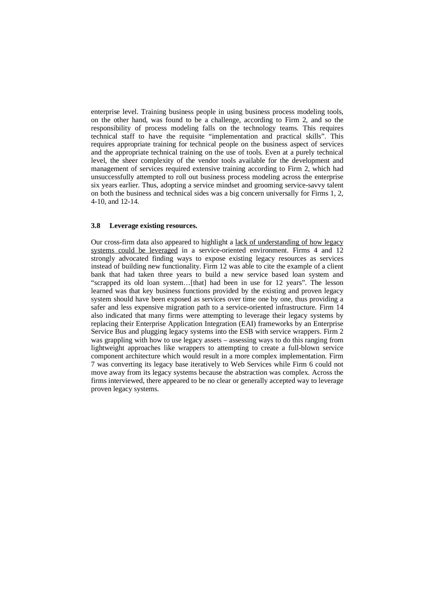enterprise level. Training business people in using business process modeling tools, on the other hand, was found to be a challenge, according to Firm 2, and so the responsibility of process modeling falls on the technology teams. This requires technical staff to have the requisite "implementation and practical skills". This requires appropriate training for technical people on the business aspect of services and the appropriate technical training on the use of tools. Even at a purely technical level, the sheer complexity of the vendor tools available for the development and management of services required extensive training according to Firm 2, which had unsuccessfully attempted to roll out business process modeling across the enterprise six years earlier. Thus, adopting a service mindset and grooming service-savvy talent on both the business and technical sides was a big concern universally for Firms 1, 2, 4-10, and 12-14.

#### **3.8 Leverage existing resources.**

Our cross-firm data also appeared to highlight a lack of understanding of how legacy systems could be leveraged in a service-oriented environment. Firms 4 and 12 strongly advocated finding ways to expose existing legacy resources as services instead of building new functionality. Firm 12 was able to cite the example of a client bank that had taken three years to build a new service based loan system and "scrapped its old loan system…[that] had been in use for 12 years". The lesson learned was that key business functions provided by the existing and proven legacy system should have been exposed as services over time one by one, thus providing a safer and less expensive migration path to a service-oriented infrastructure. Firm 14 also indicated that many firms were attempting to leverage their legacy systems by replacing their Enterprise Application Integration (EAI) frameworks by an Enterprise Service Bus and plugging legacy systems into the ESB with service wrappers. Firm 2 was grappling with how to use legacy assets – assessing ways to do this ranging from lightweight approaches like wrappers to attempting to create a full-blown service component architecture which would result in a more complex implementation. Firm 7 was converting its legacy base iteratively to Web Services while Firm 6 could not move away from its legacy systems because the abstraction was complex. Across the firms interviewed, there appeared to be no clear or generally accepted way to leverage proven legacy systems.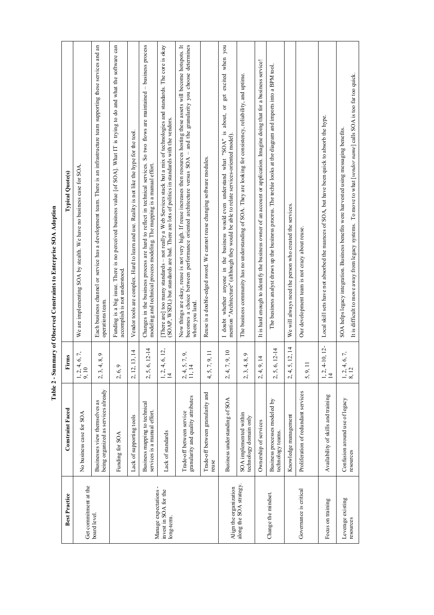| <b>Best Practice</b>                                         | <b>Constraint Faced</b>                                              | Firms                                      | <b>Typical Quote(s)</b>                                                                                                                                                                                                                                                |
|--------------------------------------------------------------|----------------------------------------------------------------------|--------------------------------------------|------------------------------------------------------------------------------------------------------------------------------------------------------------------------------------------------------------------------------------------------------------------------|
| Get commitment at the                                        | No business case for SOA                                             | 4, 6, 7,<br>$\frac{1}{9}$ , $\frac{2}{10}$ | We are implementing SOA by stealth. We have no business case for SOA.                                                                                                                                                                                                  |
| board level.                                                 | being organized as services already<br>Businesses view themselves as | 8,9<br>4,<br>2, 3,                         | Each business channel or service has a development team. There is an infrastructure team supporting these services and an<br>operations team.                                                                                                                          |
|                                                              | Funding for SOA                                                      | $\circ$<br>2, 6,                           | Funding is a big issue. There is no perceived business value [of SOA]. What IT is trying to do and what the software can<br>accomplish is not understood.                                                                                                              |
|                                                              | Lack of supporting tools                                             | 2, 12, 13, 14                              | Vendor tools are complex. Hard to learn and use. Reality is not like the hype for the tool.                                                                                                                                                                            |
|                                                              | Business mapping to technical<br>services is a manual effort.        | 6, 12-14<br>2,5,                           | So two flows are maintained - business process<br>Changes in the business process are hard to reflect in technical services.<br>modeling and technical process modeling. The mapping is a manual effort.                                                               |
| Manage expectations -<br>invest in SOA for the<br>long-term. | Lack of standards                                                    | 4, 6, 12,<br>$\frac{1}{1}$ $\frac{2}{4}$   | There are] too many standards - not really a Web Services stack but a mix of technologies and standards. The core is okay<br>(SOAP, WSDL) but standards are bad. There are lots of politics in standards with the vendors.                                             |
|                                                              | granularity and quality attributes<br>Trade-off between service      | $\frac{5}{4}$ , 7, 9,<br>$2, 4,$<br>11, 1. | Now things are okay, reuse is not very high. If reuse increases then resources hosting these assets will become hotspots. It<br>becomes a choice between performance oriented architecture versus $SOA -$ and the granularity you choose determines<br>where you land. |
|                                                              | Trade-off between granularity and<br>reuse                           | 7, 9, 11<br>4,5,                           | Reuse is a double-edged sword. We cannot reuse changing software modules.                                                                                                                                                                                              |
| Align the organization                                       | Business understanding of SOA                                        | 7, 9, 10<br>2, 4,                          | get excited when you<br>I doubt whether anyone in the business would even understand what "SOA" is about, or<br>mention "Architecture" (although they would be able to relate services-oriented model).                                                                |
| along the SOA strategy                                       | SOA implemented within<br>technology domain only                     | 8,9<br>4.<br>2, 3                          | The business community has no understanding of SOA. They are looking for consistency, reliability, and uptime.                                                                                                                                                         |
|                                                              | Ownership of services                                                | 9,14<br>2, 4                               | It is hard enough to identify the business owner of an account or application. Imagine doing that for a business service!                                                                                                                                              |
| Change the mindset.                                          | Business processes modeled by<br>technology teams.                   | 6, 12-14<br>2,5,                           | The business analyst draws up the business process. The techie looks at the diagram and imports into a BPM tool.                                                                                                                                                       |
|                                                              | Knowledge management                                                 | 5, 12, 14<br>2, 4,                         | We will always need the person who created the services.                                                                                                                                                                                                               |
| Governance is critical                                       | Proliferation of redundant services                                  | $\equiv$<br>5, 9,                          | Our development team is not crazy about reuse.                                                                                                                                                                                                                         |
| Focus on training                                            | Availability of skills and training                                  | 4-10, 12-<br>$1, 2,$<br>$14$               | Local skill sets have not absorbed the nuances of SOA, but have been quick to absorb the hype.                                                                                                                                                                         |
| Leverage existing<br>resources                               | Confusion around use of legacy<br>resources                          | , 4, 6, 7,<br>$\frac{1}{8}$ , 12           | It is difficult to move away from legacy systems. To move to what <i>ivendor name</i> calls SOA is too far too quick.<br>SOA helps legacy integration. Business benefits were harvested using messaging benefits.                                                      |

It is difficult to move away from legacy systems. To move to what [vendor name] calls SOA is too far too quick. It is difficult to move away from legacy systems. To move to what [*vendor name*] calls SOA is too far too quick.

Table 2 - Summary of Observed Constraints to Enterprise SOA Adoption **Table 2 - Summary of Observed Constraints to Enterprise SOA Adoption**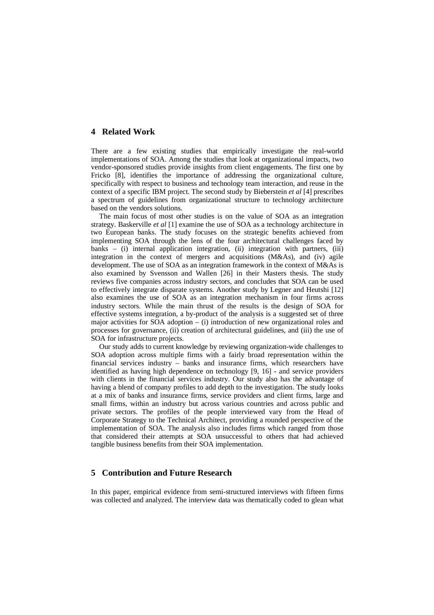# **4 Related Work**

There are a few existing studies that empirically investigate the real-world implementations of SOA. Among the studies that look at organizational impacts, two vendor-sponsored studies provide insights from client engagements. The first one by Fricko [8], identifies the importance of addressing the organizational culture, specifically with respect to business and technology team interaction, and reuse in the context of a specific IBM project. The second study by Bieberstein *et al* [4] prescribes a spectrum of guidelines from organizational structure to technology architecture based on the vendors solutions.

The main focus of most other studies is on the value of SOA as an integration strategy. Baskerville *et al* [1] examine the use of SOA as a technology architecture in two European banks. The study focuses on the strategic benefits achieved from implementing SOA through the lens of the four architectural challenges faced by banks – (i) internal application integration, (ii) integration with partners, (iii) integration in the context of mergers and acquisitions (M&As), and (iv) agile development. The use of SOA as an integration framework in the context of M&As is also examined by Svensson and Wallen [26] in their Masters thesis. The study reviews five companies across industry sectors, and concludes that SOA can be used to effectively integrate disparate systems. Another study by Legner and Heutshi [12] also examines the use of SOA as an integration mechanism in four firms across industry sectors. While the main thrust of the results is the design of SOA for effective systems integration, a by-product of the analysis is a suggested set of three major activities for SOA adoption – (i) introduction of new organizational roles and processes for governance, (ii) creation of architectural guidelines, and (iii) the use of SOA for infrastructure projects.

Our study adds to current knowledge by reviewing organization-wide challenges to SOA adoption across multiple firms with a fairly broad representation within the financial services industry – banks and insurance firms, which researchers have identified as having high dependence on technology [9, 16] - and service providers with clients in the financial services industry. Our study also has the advantage of having a blend of company profiles to add depth to the investigation. The study looks at a mix of banks and insurance firms, service providers and client firms, large and small firms, within an industry but across various countries and across public and private sectors. The profiles of the people interviewed vary from the Head of Corporate Strategy to the Technical Architect, providing a rounded perspective of the implementation of SOA. The analysis also includes firms which ranged from those that considered their attempts at SOA unsuccessful to others that had achieved tangible business benefits from their SOA implementation.

# **5 Contribution and Future Research**

In this paper, empirical evidence from semi-structured interviews with fifteen firms was collected and analyzed. The interview data was thematically coded to glean what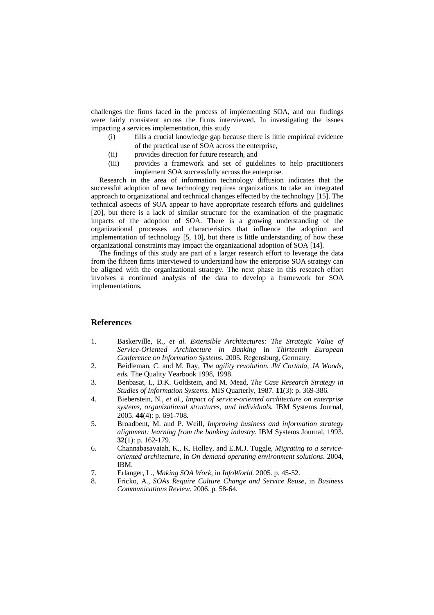challenges the firms faced in the process of implementing SOA, and our findings were fairly consistent across the firms interviewed. In investigating the issues impacting a services implementation, this study

- (i) fills a crucial knowledge gap because there is little empirical evidence of the practical use of SOA across the enterprise,
- (ii) provides direction for future research, and
- (iii) provides a framework and set of guidelines to help practitioners implement SOA successfully across the enterprise.

Research in the area of information technology diffusion indicates that the successful adoption of new technology requires organizations to take an integrated approach to organizational and technical changes effected by the technology [15]. The technical aspects of SOA appear to have appropriate research efforts and guidelines [20], but there is a lack of similar structure for the examination of the pragmatic impacts of the adoption of SOA. There is a growing understanding of the organizational processes and characteristics that influence the adoption and implementation of technology [5, 10], but there is little understanding of how these organizational constraints may impact the organizational adoption of SOA [14].

The findings of this study are part of a larger research effort to leverage the data from the fifteen firms interviewed to understand how the enterprise SOA strategy can be aligned with the organizational strategy. The next phase in this research effort involves a continued analysis of the data to develop a framework for SOA implementations.

### **References**

- 1. Baskerville, R.*, et al. Extensible Architectures: The Strategic Value of Service-Oriented Architecture in Banking* in *Thirteenth European Conference on Information Systems*. 2005. Regensburg, Germany.
- 2. Beidleman, C. and M. Ray, *The agility revolution. JW Cortada, JA Woods, eds.* The Quality Yearbook 1998, 1998.
- 3. Benbasat, I., D.K. Goldstein, and M. Mead, *The Case Research Strategy in Studies of Information Systems.* MIS Quarterly, 1987. **11**(3): p. 369-386.
- 4. Bieberstein, N.*, et al.*, *Impact of service-oriented architecture on enterprise systems, organizational structures, and individuals.* IBM Systems Journal, 2005. **44**(4): p. 691-708.
- 5. Broadbent, M. and P. Weill, *Improving business and information strategy alignment: learning from the banking industry.* IBM Systems Journal, 1993. **32**(1): p. 162-179.
- 6. Channabasavaiah, K., K. Holley, and E.M.J. Tuggle, *Migrating to a serviceoriented architecture*, in *On demand operating environment solutions*. 2004, IBM.
- 7. Erlanger, L., *Making SOA Work*, in *InfoWorld*. 2005. p. 45-52.
- 8. Fricko, A., *SOAs Require Culture Change and Service Reuse*, in *Business Communications Review*. 2006. p. 58-64.